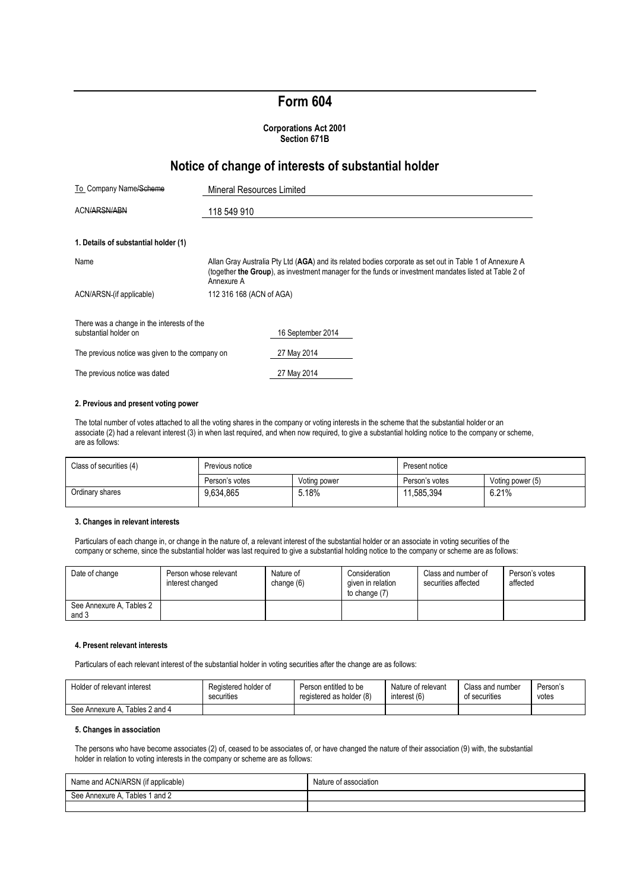# **Form 604**

#### **Corporations Act 2001 Section 671B**

## **Notice of change of interests of substantial holder**

| To Company Name/Scheme                                              | Mineral Resources Limited                                                                                                                                                                                                      |  |
|---------------------------------------------------------------------|--------------------------------------------------------------------------------------------------------------------------------------------------------------------------------------------------------------------------------|--|
| ACN/ARSN/ABN                                                        | 118 549 910                                                                                                                                                                                                                    |  |
| 1. Details of substantial holder (1)                                |                                                                                                                                                                                                                                |  |
| Name                                                                | Allan Gray Australia Pty Ltd (AGA) and its related bodies corporate as set out in Table 1 of Annexure A<br>(together the Group), as investment manager for the funds or investment mandates listed at Table 2 of<br>Annexure A |  |
| ACN/ARSN (if applicable)                                            | 112 316 168 (ACN of AGA)                                                                                                                                                                                                       |  |
| There was a change in the interests of the<br>substantial holder on | 16 September 2014                                                                                                                                                                                                              |  |
| The previous notice was given to the company on                     | 27 May 2014                                                                                                                                                                                                                    |  |
| The previous notice was dated                                       | 27 May 2014                                                                                                                                                                                                                    |  |

#### **2. Previous and present voting power**

The total number of votes attached to all the voting shares in the company or voting interests in the scheme that the substantial holder or an associate (2) had a relevant interest (3) in when last required, and when now required, to give a substantial holding notice to the company or scheme, are as follows:

| Class of securities (4) | Previous notice |              | Present notice |                  |
|-------------------------|-----------------|--------------|----------------|------------------|
|                         | Person's votes  | Voting power | Person's votes | Voting power (5) |
| Ordinary shares         | 9.634.865       | 5.18%        | 11.585.394     | 6.21%            |

#### **3. Changes in relevant interests**

Particulars of each change in, or change in the nature of, a relevant interest of the substantial holder or an associate in voting securities of the company or scheme, since the substantial holder was last required to give a substantial holding notice to the company or scheme are as follows:

| Date of change                    | Person whose relevant<br>interest changed | Nature of<br>change (6) | Consideration<br>given in relation<br>to change (7) | Class and number of<br>securities affected | Person's votes<br>affected |
|-----------------------------------|-------------------------------------------|-------------------------|-----------------------------------------------------|--------------------------------------------|----------------------------|
| See Annexure A, Tables 2<br>and 3 |                                           |                         |                                                     |                                            |                            |

#### **4. Present relevant interests**

Particulars of each relevant interest of the substantial holder in voting securities after the change are as follows:

| Holder of relevant interest    | Registered holder of | Person entitled to be    | Nature of relevant | Class and number | Person's |
|--------------------------------|----------------------|--------------------------|--------------------|------------------|----------|
|                                | securities           | registered as holder (8) | interest (6)       | of securities    | votes    |
| See Annexure A. Tables 2 and 4 |                      |                          |                    |                  |          |

#### **5. Changes in association**

The persons who have become associates (2) of, ceased to be associates of, or have changed the nature of their association (9) with, the substantial holder in relation to voting interests in the company or scheme are as follows:

| Name and ACN/ARSN (if applicable) | Nature<br>of association. |
|-----------------------------------|---------------------------|
| Tables 1 and 2<br>See Annexure A  |                           |
|                                   |                           |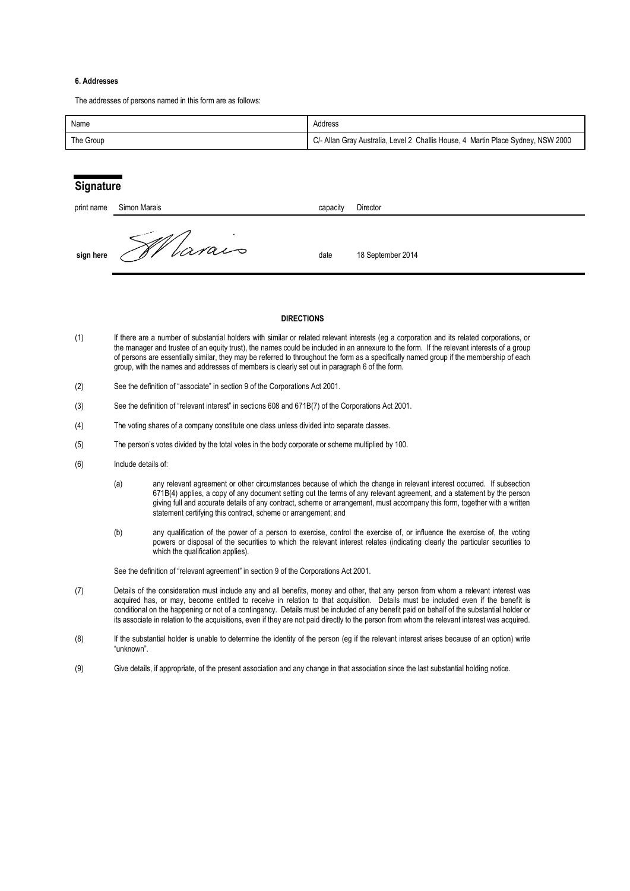#### **6. Addresses**

The addresses of persons named in this form are as follows:

| Name      | Address                                                                          |
|-----------|----------------------------------------------------------------------------------|
| The Group | C/- Allan Gray Australia, Level 2 Challis House, 4 Martin Place Sydney, NSW 2000 |

## **Signature**

| print name | Simon Marais | capacity | Director          |
|------------|--------------|----------|-------------------|
| sign here  | Varais       | date     | 18 September 2014 |

#### **DIRECTIONS**

- (1) If there are a number of substantial holders with similar or related relevant interests (eg a corporation and its related corporations, or the manager and trustee of an equity trust), the names could be included in an annexure to the form. If the relevant interests of a group of persons are essentially similar, they may be referred to throughout the form as a specifically named group if the membership of each group, with the names and addresses of members is clearly set out in paragraph 6 of the form.
- (2) See the definition of "associate" in section 9 of the Corporations Act 2001.
- (3) See the definition of "relevant interest" in sections 608 and 671B(7) of the Corporations Act 2001.
- (4) The voting shares of a company constitute one class unless divided into separate classes.
- (5) The person's votes divided by the total votes in the body corporate or scheme multiplied by 100.
- (6) Include details of:
	- (a) any relevant agreement or other circumstances because of which the change in relevant interest occurred. If subsection 671B(4) applies, a copy of any document setting out the terms of any relevant agreement, and a statement by the person giving full and accurate details of any contract, scheme or arrangement, must accompany this form, together with a written statement certifying this contract, scheme or arrangement; and
	- (b) any qualification of the power of a person to exercise, control the exercise of, or influence the exercise of, the voting powers or disposal of the securities to which the relevant interest relates (indicating clearly the particular securities to which the qualification applies).

See the definition of "relevant agreement" in section 9 of the Corporations Act 2001.

- (7) Details of the consideration must include any and all benefits, money and other, that any person from whom a relevant interest was acquired has, or may, become entitled to receive in relation to that acquisition. Details must be included even if the benefit is conditional on the happening or not of a contingency. Details must be included of any benefit paid on behalf of the substantial holder or its associate in relation to the acquisitions, even if they are not paid directly to the person from whom the relevant interest was acquired.
- (8) If the substantial holder is unable to determine the identity of the person (eg if the relevant interest arises because of an option) write "unknown".
- (9) Give details, if appropriate, of the present association and any change in that association since the last substantial holding notice.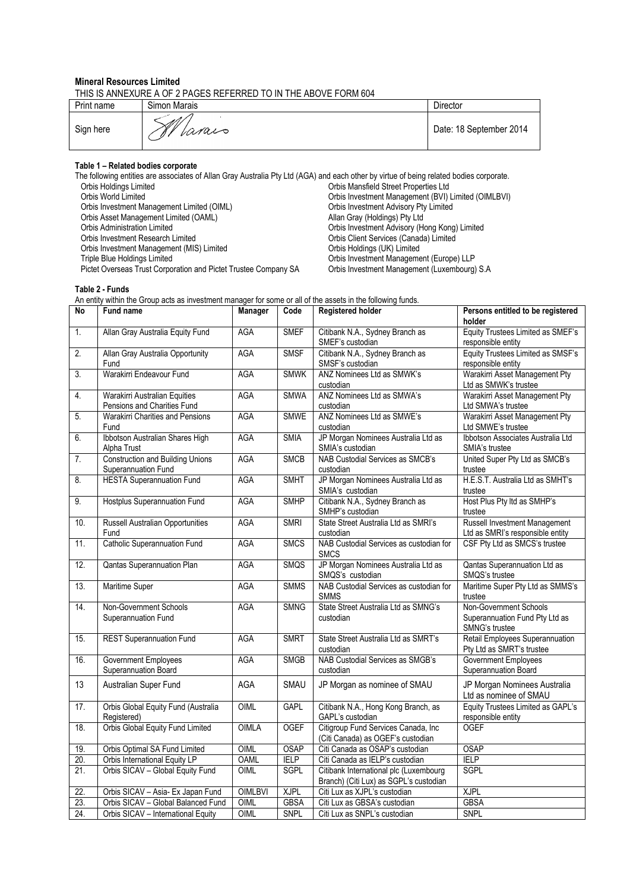#### **Mineral Resources Limited**

THIS IS ANNEXURE A OF 2 PAGES REFERRED TO IN THE ABOVE FORM 604

| Print name | Simon Marais  | Director                |
|------------|---------------|-------------------------|
| Sign here  | A V<br>Varais | Date: 18 September 2014 |

#### **Table 1 – Related bodies corporate**

**Table 2 - Funds**

The following entities are associates of Allan Gray Australia Pty Ltd (AGA) and each other by virtue of being related bodies corporate. Orbis Holdings Limited Orbis Mansfield Street Properties Ltd Orbis Investment Management (BVI) Limited (OIMLBVI)<br>Orbis Investment Advisory Pty Limited Orbis Investment Management Limited (OIML) <br>Orbis Asset Management Limited (OAML) Orbis Asset Management Limited (OAML) (Orbis Asset Management Limited (OAML) Orbis Asset Management Limited (OAML)<br>Orbis Administration Limited Orbis Administration Limited<br>
Orbis Investment Advisory (Hong Kong) Limited<br>
Orbis Investment Research Limited<br>
Orbis Client Services (Canada) Limited Orbis Client Services (Canada) Limited<br>Orbis Holdings (UK) Limited Orbis Investment Management (MIS) Limited<br>Triple Blue Holdings Limited Orbis Investment Management (Europe) LLP<br>Orbis Investment Management (Luxembourg) S.A Pictet Overseas Trust Corporation and Pictet Trustee Company SA

An entity within the Group acts as investment manager for some or all of the assets in the following funds. **No** Fund name **Manager Code** Registered holder **Persons entitled to be registered holder** 1. Allan Gray Australia Equity Fund AGA SMEF Citibank N.A., Sydney Branch as SMEF's custodian Equity Trustees Limited as SMEF's responsible entity 2. Allan Gray Australia Opportunity Fund AGA SMSF Citibank N.A., Sydney Branch as SMSF's custodian Equity Trustees Limited as SMSF's responsible entity 3. Warakirri Endeavour Fund AGA SMWK ANZ Nominees Ltd as SMWK's custodian Warakirri Asset Management Pty Ltd as SMWK's trustee 4. Warakirri Australian Equities Pensions and Charities Fund AGA SMWA ANZ Nominees Ltd as SMWA's custodian Warakirri Asset Management Pty Ltd SMWA's trustee 5. Warakirri Charities and Pensions Fund AGA SMWE ANZ Nominees Ltd as SMWE's custodian Warakirri Asset Management Pty Ltd SMWE's trustee 6. Ibbotson Australian Shares High Alpha Trust AGA SMIA JP Morgan Nominees Australia Ltd as SMIA's custodian Ibbotson Associates Australia Ltd SMIA's trustee 7. Construction and Building Unions **Superannuation Fund**<br>HESTA Superannuation Fund AGA SMCB NAB Custodial Services as SMCB's custodian United Super Pty Ltd as SMCB's trustee 8. HESTA Superannuation Fund AGA SMHT JP Morgan Nominees Australia Ltd as SMIA's custodian H.E.S.T. Australia Ltd as SMHT's trustee 9. Hostplus Superannuation Fund AGA SMHP Citibank N.A., Sydney Branch as SMHP's custodian Host Plus Pty ltd as SMHP's trustee 10. Russell Australian Opportunities Fund AGA | SMRI | State Street Australia Ltd as SMRI's custodian Russell Investment Management Ltd as SMRI's responsible entity 11. Catholic Superannuation Fund AGA SMCS NAB Custodial Services as custodian for **SMCS** CSF Pty Ltd as SMCS's trustee 12. Qantas Superannuation Plan AGA SMQS JP Morgan Nominees Australia Ltd as SMQS's custodian Qantas Superannuation Ltd as SMQS's trustee 13. Maritime Super **AGA** SMMS NAB Custodial Services as custodian for SMMS Maritime Super Pty Ltd as SMMS's trustee 14. Non-Government Schools Superannuation Fund AGA SMNG State Street Australia Ltd as SMNG's custodian Non-Government Schools Superannuation Fund Pty Ltd as SMNG's trustee 15. REST Superannuation Fund AGA SMRT State Street Australia Ltd as SMRT's custodian Retail Employees Superannuation Pty Ltd as SMRT's trustee 16. Government Employees Superannuation Board AGA SMGB NAB Custodial Services as SMGB's custodian Government Employees Superannuation Board 13 Australian Super Fund AGA SMAU JP Morgan as nominee of SMAU JP Morgan Nominees Australia Ltd as nominee of SMAU 17. **Orbis Global Equity Fund (Australia** Registered) OIML GAPL Citibank N.A., Hong Kong Branch, as GAPL's custodian Equity Trustees Limited as GAPL's responsible entity 18. Orbis Global Equity Fund Limited OIMLA OGEF Citigroup Fund Services Canada, Inc (Citi Canada) as OGEF's custodian **OGFF** 19. Orbis Optimal SA Fund Limited OIML OSAP Citi Canada as OSAP's custodian OSAP<br>20. Orbis International Equity LP OAML IELP Citi Canada as IELP's custodian IELP 20. Orbis International Equity LP OAML IELP Citi Canada as IELP's custodian<br>21. Orbis SICAV – Global Equity Fund OIML SGPL Citibank International plc (Luxem Citibank International plc (Luxembourg Branch) (Citi Lux) as SGPL's custodian<br>Citi Lux as XJPL's custodian **SGPL** 22. Orbis SICAV – Asia- Ex Japan Fund | OIMLBVI | XJPL | Citi Lux as XJPL's custodian | XJPL 23. | Orbis SICAV – Global Balanced Fund | OIML | GBSA | Citi Lux as GBSA's custodian | GBSA 24. Orbis SICAV – International Equity OIML SNPL Citi Lux as SNPL's custodian SNPL